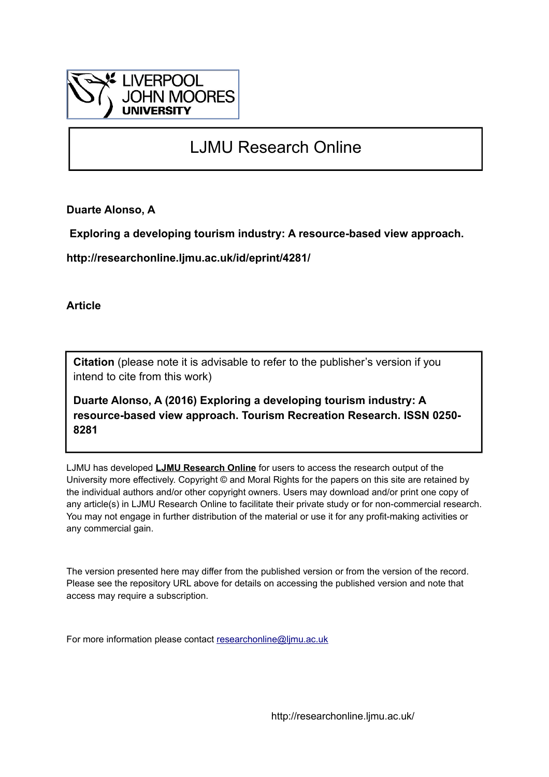

# LJMU Research Online

**Duarte Alonso, A**

 **Exploring a developing tourism industry: A resource-based view approach.**

**http://researchonline.ljmu.ac.uk/id/eprint/4281/**

**Article**

**Citation** (please note it is advisable to refer to the publisher's version if you intend to cite from this work)

**Duarte Alonso, A (2016) Exploring a developing tourism industry: A resource-based view approach. Tourism Recreation Research. ISSN 0250- 8281** 

LJMU has developed **[LJMU Research Online](http://researchonline.ljmu.ac.uk/)** for users to access the research output of the University more effectively. Copyright © and Moral Rights for the papers on this site are retained by the individual authors and/or other copyright owners. Users may download and/or print one copy of any article(s) in LJMU Research Online to facilitate their private study or for non-commercial research. You may not engage in further distribution of the material or use it for any profit-making activities or any commercial gain.

The version presented here may differ from the published version or from the version of the record. Please see the repository URL above for details on accessing the published version and note that access may require a subscription.

For more information please contact [researchonline@ljmu.ac.uk](mailto:researchonline@ljmu.ac.uk)

http://researchonline.ljmu.ac.uk/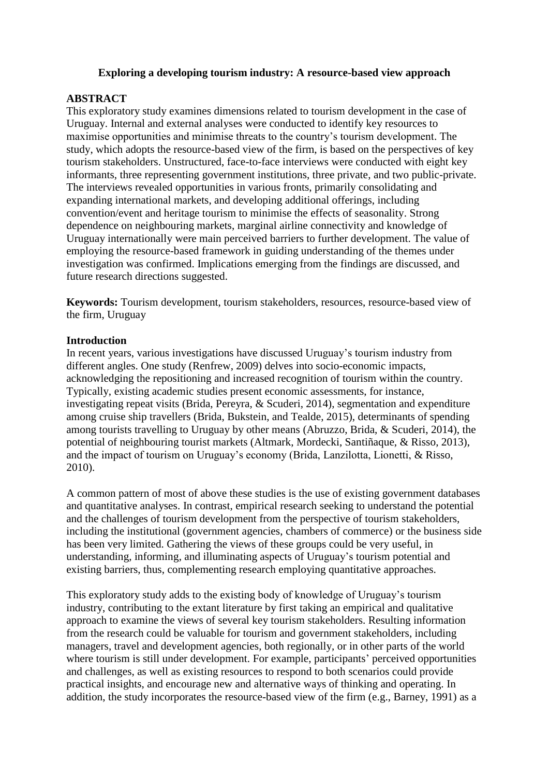# **Exploring a developing tourism industry: A resource-based view approach**

# **ABSTRACT**

This exploratory study examines dimensions related to tourism development in the case of Uruguay. Internal and external analyses were conducted to identify key resources to maximise opportunities and minimise threats to the country's tourism development. The study, which adopts the resource-based view of the firm, is based on the perspectives of key tourism stakeholders. Unstructured, face-to-face interviews were conducted with eight key informants, three representing government institutions, three private, and two public-private. The interviews revealed opportunities in various fronts, primarily consolidating and expanding international markets, and developing additional offerings, including convention/event and heritage tourism to minimise the effects of seasonality. Strong dependence on neighbouring markets, marginal airline connectivity and knowledge of Uruguay internationally were main perceived barriers to further development. The value of employing the resource-based framework in guiding understanding of the themes under investigation was confirmed. Implications emerging from the findings are discussed, and future research directions suggested.

**Keywords:** Tourism development, tourism stakeholders, resources, resource-based view of the firm, Uruguay

# **Introduction**

In recent years, various investigations have discussed Uruguay's tourism industry from different angles. One study (Renfrew, 2009) delves into socio-economic impacts, acknowledging the repositioning and increased recognition of tourism within the country. Typically, existing academic studies present economic assessments, for instance, investigating repeat visits (Brida, Pereyra, & Scuderi, 2014), segmentation and expenditure among cruise ship travellers (Brida, Bukstein, and Tealde, 2015), determinants of spending among tourists travelling to Uruguay by other means (Abruzzo, Brida, & Scuderi, 2014), the potential of neighbouring tourist markets (Altmark, Mordecki, Santiñaque, & Risso, 2013), and the impact of tourism on Uruguay's economy (Brida, Lanzilotta, Lionetti, & Risso, 2010).

A common pattern of most of above these studies is the use of existing government databases and quantitative analyses. In contrast, empirical research seeking to understand the potential and the challenges of tourism development from the perspective of tourism stakeholders, including the institutional (government agencies, chambers of commerce) or the business side has been very limited. Gathering the views of these groups could be very useful, in understanding, informing, and illuminating aspects of Uruguay's tourism potential and existing barriers, thus, complementing research employing quantitative approaches.

This exploratory study adds to the existing body of knowledge of Uruguay's tourism industry, contributing to the extant literature by first taking an empirical and qualitative approach to examine the views of several key tourism stakeholders. Resulting information from the research could be valuable for tourism and government stakeholders, including managers, travel and development agencies, both regionally, or in other parts of the world where tourism is still under development. For example, participants' perceived opportunities and challenges, as well as existing resources to respond to both scenarios could provide practical insights, and encourage new and alternative ways of thinking and operating. In addition, the study incorporates the resource-based view of the firm (e.g., Barney, 1991) as a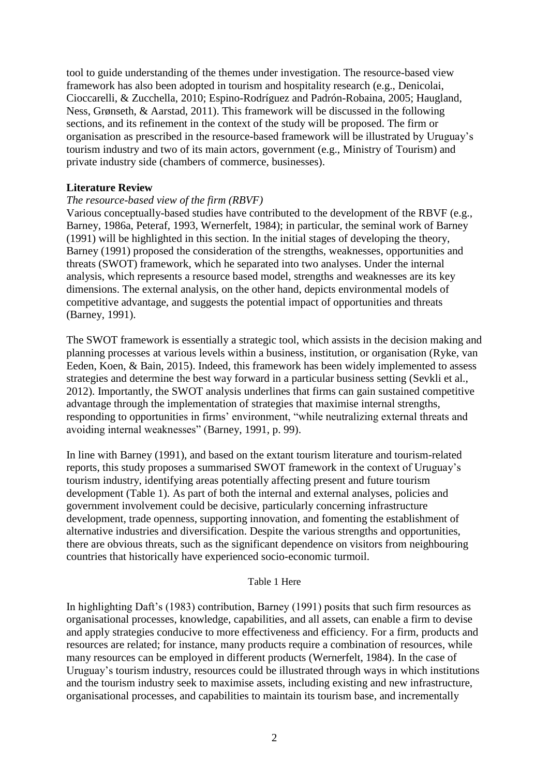tool to guide understanding of the themes under investigation. The resource-based view framework has also been adopted in tourism and hospitality research (e.g., Denicolai, Cioccarelli, & Zucchella, 2010; Espino-Rodríguez and Padrón-Robaina, 2005; Haugland, Ness, Grønseth, & Aarstad, 2011). This framework will be discussed in the following sections, and its refinement in the context of the study will be proposed. The firm or organisation as prescribed in the resource-based framework will be illustrated by Uruguay's tourism industry and two of its main actors, government (e.g., Ministry of Tourism) and private industry side (chambers of commerce, businesses).

# **Literature Review**

# *The resource-based view of the firm (RBVF)*

Various conceptually-based studies have contributed to the development of the RBVF (e.g., Barney, 1986a, Peteraf, 1993, Wernerfelt, 1984); in particular, the seminal work of Barney (1991) will be highlighted in this section. In the initial stages of developing the theory, Barney (1991) proposed the consideration of the strengths, weaknesses, opportunities and threats (SWOT) framework, which he separated into two analyses. Under the internal analysis, which represents a resource based model, strengths and weaknesses are its key dimensions. The external analysis, on the other hand, depicts environmental models of competitive advantage, and suggests the potential impact of opportunities and threats (Barney, 1991).

The SWOT framework is essentially a strategic tool, which assists in the decision making and planning processes at various levels within a business, institution, or organisation (Ryke, van Eeden, Koen, & Bain, 2015). Indeed, this framework has been widely implemented to assess strategies and determine the best way forward in a particular business setting (Sevkli et al., 2012). Importantly, the SWOT analysis underlines that firms can gain sustained competitive advantage through the implementation of strategies that maximise internal strengths, responding to opportunities in firms' environment, "while neutralizing external threats and avoiding internal weaknesses" (Barney, 1991, p. 99).

In line with Barney (1991), and based on the extant tourism literature and tourism-related reports, this study proposes a summarised SWOT framework in the context of Uruguay's tourism industry, identifying areas potentially affecting present and future tourism development (Table 1). As part of both the internal and external analyses, policies and government involvement could be decisive, particularly concerning infrastructure development, trade openness, supporting innovation, and fomenting the establishment of alternative industries and diversification. Despite the various strengths and opportunities, there are obvious threats, such as the significant dependence on visitors from neighbouring countries that historically have experienced socio-economic turmoil.

#### Table 1 Here

In highlighting Daft's (1983) contribution, Barney (1991) posits that such firm resources as organisational processes, knowledge, capabilities, and all assets, can enable a firm to devise and apply strategies conducive to more effectiveness and efficiency. For a firm, products and resources are related; for instance, many products require a combination of resources, while many resources can be employed in different products (Wernerfelt, 1984). In the case of Uruguay's tourism industry, resources could be illustrated through ways in which institutions and the tourism industry seek to maximise assets, including existing and new infrastructure, organisational processes, and capabilities to maintain its tourism base, and incrementally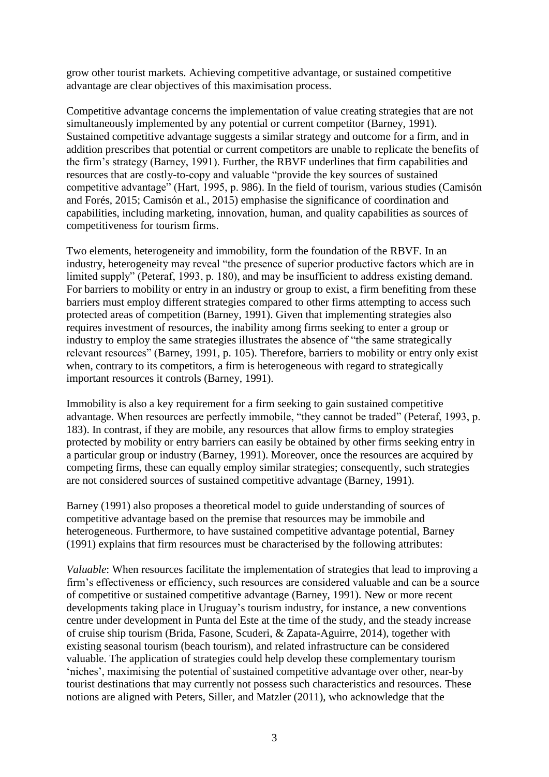grow other tourist markets. Achieving competitive advantage, or sustained competitive advantage are clear objectives of this maximisation process.

Competitive advantage concerns the implementation of value creating strategies that are not simultaneously implemented by any potential or current competitor (Barney, 1991). Sustained competitive advantage suggests a similar strategy and outcome for a firm, and in addition prescribes that potential or current competitors are unable to replicate the benefits of the firm's strategy (Barney, 1991). Further, the RBVF underlines that firm capabilities and resources that are costly-to-copy and valuable "provide the key sources of sustained competitive advantage" (Hart, 1995, p. 986). In the field of tourism, various studies (Camisón and Forés, 2015; Camisón et al., 2015) emphasise the significance of coordination and capabilities, including marketing, innovation, human, and quality capabilities as sources of competitiveness for tourism firms.

Two elements, heterogeneity and immobility, form the foundation of the RBVF. In an industry, heterogeneity may reveal "the presence of superior productive factors which are in limited supply" (Peteraf, 1993, p. 180), and may be insufficient to address existing demand. For barriers to mobility or entry in an industry or group to exist, a firm benefiting from these barriers must employ different strategies compared to other firms attempting to access such protected areas of competition (Barney, 1991). Given that implementing strategies also requires investment of resources, the inability among firms seeking to enter a group or industry to employ the same strategies illustrates the absence of "the same strategically relevant resources" (Barney, 1991, p. 105). Therefore, barriers to mobility or entry only exist when, contrary to its competitors, a firm is heterogeneous with regard to strategically important resources it controls (Barney, 1991).

Immobility is also a key requirement for a firm seeking to gain sustained competitive advantage. When resources are perfectly immobile, "they cannot be traded" (Peteraf, 1993, p. 183). In contrast, if they are mobile, any resources that allow firms to employ strategies protected by mobility or entry barriers can easily be obtained by other firms seeking entry in a particular group or industry (Barney, 1991). Moreover, once the resources are acquired by competing firms, these can equally employ similar strategies; consequently, such strategies are not considered sources of sustained competitive advantage (Barney, 1991).

Barney (1991) also proposes a theoretical model to guide understanding of sources of competitive advantage based on the premise that resources may be immobile and heterogeneous. Furthermore, to have sustained competitive advantage potential, Barney (1991) explains that firm resources must be characterised by the following attributes:

*Valuable*: When resources facilitate the implementation of strategies that lead to improving a firm's effectiveness or efficiency, such resources are considered valuable and can be a source of competitive or sustained competitive advantage (Barney, 1991). New or more recent developments taking place in Uruguay's tourism industry, for instance, a new conventions centre under development in Punta del Este at the time of the study, and the steady increase of cruise ship tourism (Brida, Fasone, Scuderi, & Zapata-Aguirre, 2014), together with existing seasonal tourism (beach tourism), and related infrastructure can be considered valuable. The application of strategies could help develop these complementary tourism 'niches', maximising the potential of sustained competitive advantage over other, near-by tourist destinations that may currently not possess such characteristics and resources. These notions are aligned with Peters, Siller, and Matzler (2011), who acknowledge that the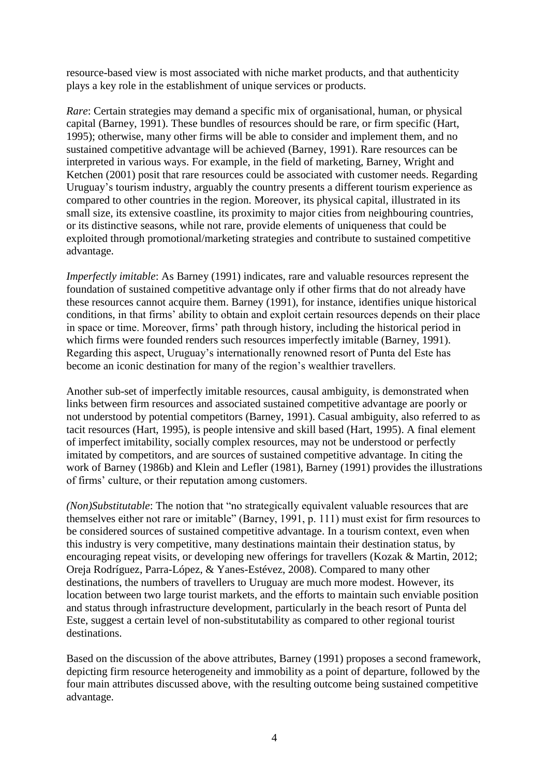resource-based view is most associated with niche market products, and that authenticity plays a key role in the establishment of unique services or products.

*Rare*: Certain strategies may demand a specific mix of organisational, human, or physical capital (Barney, 1991). These bundles of resources should be rare, or firm specific (Hart, 1995); otherwise, many other firms will be able to consider and implement them, and no sustained competitive advantage will be achieved (Barney, 1991). Rare resources can be interpreted in various ways. For example, in the field of marketing, Barney, Wright and Ketchen (2001) posit that rare resources could be associated with customer needs. Regarding Uruguay's tourism industry, arguably the country presents a different tourism experience as compared to other countries in the region. Moreover, its physical capital, illustrated in its small size, its extensive coastline, its proximity to major cities from neighbouring countries, or its distinctive seasons, while not rare, provide elements of uniqueness that could be exploited through promotional/marketing strategies and contribute to sustained competitive advantage.

*Imperfectly imitable*: As Barney (1991) indicates, rare and valuable resources represent the foundation of sustained competitive advantage only if other firms that do not already have these resources cannot acquire them. Barney (1991), for instance, identifies unique historical conditions, in that firms' ability to obtain and exploit certain resources depends on their place in space or time. Moreover, firms' path through history, including the historical period in which firms were founded renders such resources imperfectly imitable (Barney, 1991). Regarding this aspect, Uruguay's internationally renowned resort of Punta del Este has become an iconic destination for many of the region's wealthier travellers.

Another sub-set of imperfectly imitable resources, causal ambiguity, is demonstrated when links between firm resources and associated sustained competitive advantage are poorly or not understood by potential competitors (Barney, 1991). Casual ambiguity, also referred to as tacit resources (Hart, 1995), is people intensive and skill based (Hart, 1995). A final element of imperfect imitability, socially complex resources, may not be understood or perfectly imitated by competitors, and are sources of sustained competitive advantage. In citing the work of Barney (1986b) and Klein and Lefler (1981), Barney (1991) provides the illustrations of firms' culture, or their reputation among customers.

*(Non)Substitutable*: The notion that "no strategically equivalent valuable resources that are themselves either not rare or imitable" (Barney, 1991, p. 111) must exist for firm resources to be considered sources of sustained competitive advantage. In a tourism context, even when this industry is very competitive, many destinations maintain their destination status, by encouraging repeat visits, or developing new offerings for travellers (Kozak & Martin, 2012; Oreja Rodríguez, Parra-López, & Yanes-Estévez, 2008). Compared to many other destinations, the numbers of travellers to Uruguay are much more modest. However, its location between two large tourist markets, and the efforts to maintain such enviable position and status through infrastructure development, particularly in the beach resort of Punta del Este, suggest a certain level of non-substitutability as compared to other regional tourist destinations.

Based on the discussion of the above attributes, Barney (1991) proposes a second framework, depicting firm resource heterogeneity and immobility as a point of departure, followed by the four main attributes discussed above, with the resulting outcome being sustained competitive advantage.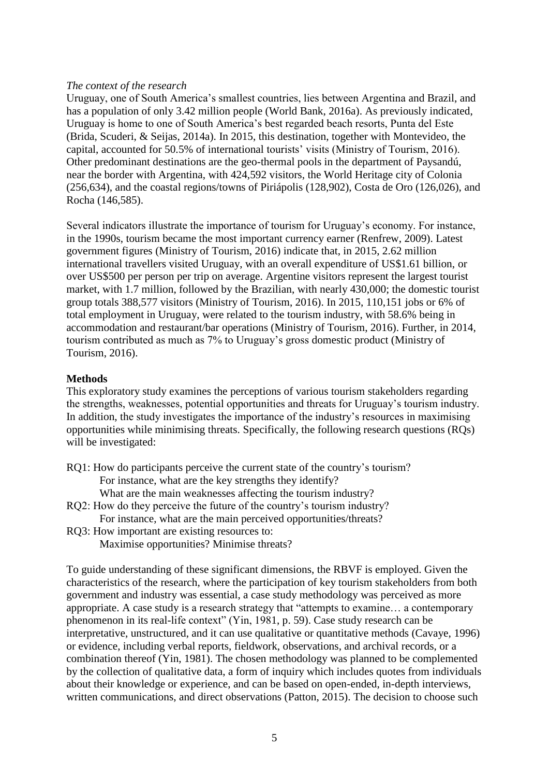# *The context of the research*

Uruguay, one of South America's smallest countries, lies between Argentina and Brazil, and has a population of only 3.42 million people (World Bank, 2016a). As previously indicated, Uruguay is home to one of South America's best regarded beach resorts, Punta del Este (Brida, Scuderi, & Seijas, 2014a). In 2015, this destination, together with Montevideo, the capital, accounted for 50.5% of international tourists' visits (Ministry of Tourism, 2016). Other predominant destinations are the geo-thermal pools in the department of Paysandú, near the border with Argentina, with 424,592 visitors, the World Heritage city of Colonia (256,634), and the coastal regions/towns of Piriápolis (128,902), Costa de Oro (126,026), and Rocha (146,585).

Several indicators illustrate the importance of tourism for Uruguay's economy. For instance, in the 1990s, tourism became the most important currency earner (Renfrew, 2009). Latest government figures (Ministry of Tourism, 2016) indicate that, in 2015, 2.62 million international travellers visited Uruguay, with an overall expenditure of US\$1.61 billion, or over US\$500 per person per trip on average. Argentine visitors represent the largest tourist market, with 1.7 million, followed by the Brazilian, with nearly 430,000; the domestic tourist group totals 388,577 visitors (Ministry of Tourism, 2016). In 2015, 110,151 jobs or 6% of total employment in Uruguay, were related to the tourism industry, with 58.6% being in accommodation and restaurant/bar operations (Ministry of Tourism, 2016). Further, in 2014, tourism contributed as much as 7% to Uruguay's gross domestic product (Ministry of Tourism, 2016).

## **Methods**

This exploratory study examines the perceptions of various tourism stakeholders regarding the strengths, weaknesses, potential opportunities and threats for Uruguay's tourism industry. In addition, the study investigates the importance of the industry's resources in maximising opportunities while minimising threats. Specifically, the following research questions (RQs) will be investigated:

- RQ1: How do participants perceive the current state of the country's tourism? For instance, what are the key strengths they identify? What are the main weaknesses affecting the tourism industry?
- RQ2: How do they perceive the future of the country's tourism industry? For instance, what are the main perceived opportunities/threats?
- RQ3: How important are existing resources to: Maximise opportunities? Minimise threats?

To guide understanding of these significant dimensions, the RBVF is employed. Given the characteristics of the research, where the participation of key tourism stakeholders from both government and industry was essential, a case study methodology was perceived as more appropriate. A case study is a research strategy that "attempts to examine… a contemporary phenomenon in its real-life context" (Yin, 1981, p. 59). Case study research can be interpretative, unstructured, and it can use qualitative or quantitative methods (Cavaye, 1996) or evidence, including verbal reports, fieldwork, observations, and archival records, or a combination thereof (Yin, 1981). The chosen methodology was planned to be complemented by the collection of qualitative data, a form of inquiry which includes quotes from individuals about their knowledge or experience, and can be based on open-ended, in-depth interviews, written communications, and direct observations (Patton, 2015). The decision to choose such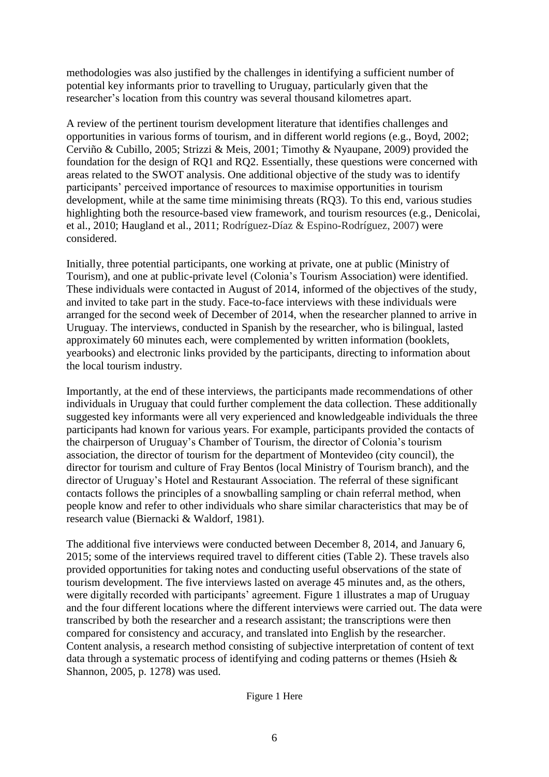methodologies was also justified by the challenges in identifying a sufficient number of potential key informants prior to travelling to Uruguay, particularly given that the researcher's location from this country was several thousand kilometres apart.

A review of the pertinent tourism development literature that identifies challenges and opportunities in various forms of tourism, and in different world regions (e.g., Boyd, 2002; Cerviño & Cubillo, 2005; Strizzi & Meis, 2001; Timothy & Nyaupane, 2009) provided the foundation for the design of RQ1 and RQ2. Essentially, these questions were concerned with areas related to the SWOT analysis. One additional objective of the study was to identify participants' perceived importance of resources to maximise opportunities in tourism development, while at the same time minimising threats (RQ3). To this end, various studies highlighting both the resource-based view framework, and tourism resources (e.g., Denicolai, et al., 2010; Haugland et al., 2011; Rodríguez-Díaz & Espino-Rodríguez, 2007) were considered.

Initially, three potential participants, one working at private, one at public (Ministry of Tourism), and one at public-private level (Colonia's Tourism Association) were identified. These individuals were contacted in August of 2014, informed of the objectives of the study, and invited to take part in the study. Face-to-face interviews with these individuals were arranged for the second week of December of 2014, when the researcher planned to arrive in Uruguay. The interviews, conducted in Spanish by the researcher, who is bilingual, lasted approximately 60 minutes each, were complemented by written information (booklets, yearbooks) and electronic links provided by the participants, directing to information about the local tourism industry.

Importantly, at the end of these interviews, the participants made recommendations of other individuals in Uruguay that could further complement the data collection. These additionally suggested key informants were all very experienced and knowledgeable individuals the three participants had known for various years. For example, participants provided the contacts of the chairperson of Uruguay's Chamber of Tourism, the director of Colonia's tourism association, the director of tourism for the department of Montevideo (city council), the director for tourism and culture of Fray Bentos (local Ministry of Tourism branch), and the director of Uruguay's Hotel and Restaurant Association. The referral of these significant contacts follows the principles of a snowballing sampling or chain referral method, when people know and refer to other individuals who share similar characteristics that may be of research value (Biernacki & Waldorf, 1981).

The additional five interviews were conducted between December 8, 2014, and January 6, 2015; some of the interviews required travel to different cities (Table 2). These travels also provided opportunities for taking notes and conducting useful observations of the state of tourism development. The five interviews lasted on average 45 minutes and, as the others, were digitally recorded with participants' agreement. Figure 1 illustrates a map of Uruguay and the four different locations where the different interviews were carried out. The data were transcribed by both the researcher and a research assistant; the transcriptions were then compared for consistency and accuracy, and translated into English by the researcher. Content analysis, a research method consisting of subjective interpretation of content of text data through a systematic process of identifying and coding patterns or themes (Hsieh & Shannon, 2005, p. 1278) was used.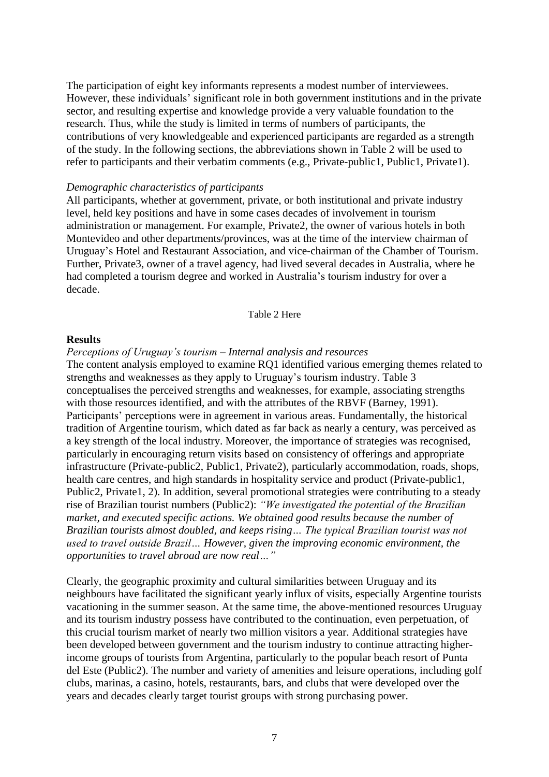The participation of eight key informants represents a modest number of interviewees. However, these individuals' significant role in both government institutions and in the private sector, and resulting expertise and knowledge provide a very valuable foundation to the research. Thus, while the study is limited in terms of numbers of participants, the contributions of very knowledgeable and experienced participants are regarded as a strength of the study. In the following sections, the abbreviations shown in Table 2 will be used to refer to participants and their verbatim comments (e.g., Private-public1, Public1, Private1).

#### *Demographic characteristics of participants*

All participants, whether at government, private, or both institutional and private industry level, held key positions and have in some cases decades of involvement in tourism administration or management. For example, Private2, the owner of various hotels in both Montevideo and other departments/provinces, was at the time of the interview chairman of Uruguay's Hotel and Restaurant Association, and vice-chairman of the Chamber of Tourism. Further, Private3, owner of a travel agency, had lived several decades in Australia, where he had completed a tourism degree and worked in Australia's tourism industry for over a decade.

#### Table 2 Here

#### **Results**

*Perceptions of Uruguay's tourism – Internal analysis and resources*

The content analysis employed to examine RQ1 identified various emerging themes related to strengths and weaknesses as they apply to Uruguay's tourism industry. Table 3 conceptualises the perceived strengths and weaknesses, for example, associating strengths with those resources identified, and with the attributes of the RBVF (Barney, 1991). Participants' perceptions were in agreement in various areas. Fundamentally, the historical tradition of Argentine tourism, which dated as far back as nearly a century, was perceived as a key strength of the local industry. Moreover, the importance of strategies was recognised, particularly in encouraging return visits based on consistency of offerings and appropriate infrastructure (Private-public2, Public1, Private2), particularly accommodation, roads, shops, health care centres, and high standards in hospitality service and product (Private-public1, Public2, Private1, 2). In addition, several promotional strategies were contributing to a steady rise of Brazilian tourist numbers (Public2): *"We investigated the potential of the Brazilian market, and executed specific actions. We obtained good results because the number of Brazilian tourists almost doubled, and keeps rising… The typical Brazilian tourist was not used to travel outside Brazil… However, given the improving economic environment, the opportunities to travel abroad are now real…"* 

Clearly, the geographic proximity and cultural similarities between Uruguay and its neighbours have facilitated the significant yearly influx of visits, especially Argentine tourists vacationing in the summer season. At the same time, the above-mentioned resources Uruguay and its tourism industry possess have contributed to the continuation, even perpetuation, of this crucial tourism market of nearly two million visitors a year. Additional strategies have been developed between government and the tourism industry to continue attracting higherincome groups of tourists from Argentina, particularly to the popular beach resort of Punta del Este (Public2). The number and variety of amenities and leisure operations, including golf clubs, marinas, a casino, hotels, restaurants, bars, and clubs that were developed over the years and decades clearly target tourist groups with strong purchasing power.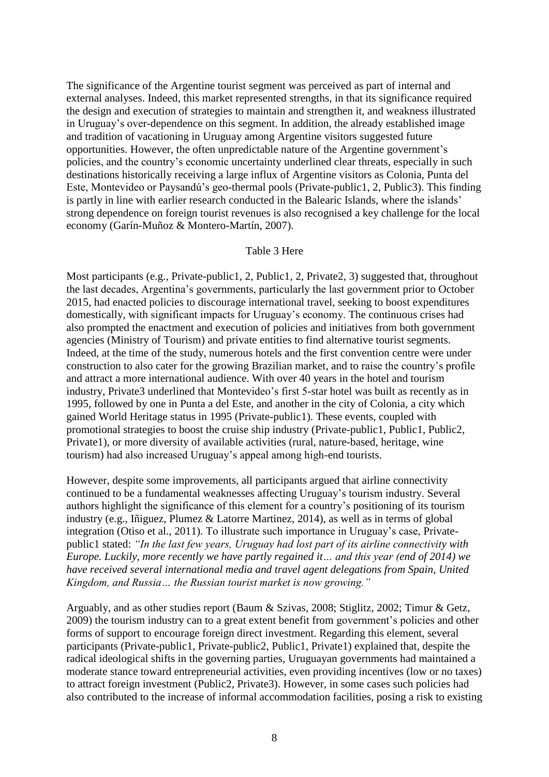The significance of the Argentine tourist segment was perceived as part of internal and external analyses. Indeed, this market represented strengths, in that its significance required the design and execution of strategies to maintain and strengthen it, and weakness illustrated in Uruguay's over-dependence on this segment. In addition, the already established image and tradition of vacationing in Uruguay among Argentine visitors suggested future opportunities. However, the often unpredictable nature of the Argentine government's policies, and the country's economic uncertainty underlined clear threats, especially in such destinations historically receiving a large influx of Argentine visitors as Colonia, Punta del Este, Montevideo or Paysandú's geo-thermal pools (Private-public1, 2, Public3). This finding is partly in line with earlier research conducted in the Balearic Islands, where the islands' strong dependence on foreign tourist revenues is also recognised a key challenge for the local economy (Garín-Muñoz & Montero-Martín, 2007).

#### Table 3 Here

Most participants (e.g., Private-public1, 2, Public1, 2, Private2, 3) suggested that, throughout the last decades, Argentina's governments, particularly the last government prior to October 2015, had enacted policies to discourage international travel, seeking to boost expenditures domestically, with significant impacts for Uruguay's economy. The continuous crises had also prompted the enactment and execution of policies and initiatives from both government agencies (Ministry of Tourism) and private entities to find alternative tourist segments. Indeed, at the time of the study, numerous hotels and the first convention centre were under construction to also cater for the growing Brazilian market, and to raise the country's profile and attract a more international audience. With over 40 years in the hotel and tourism industry, Private3 underlined that Montevideo's first 5-star hotel was built as recently as in 1995, followed by one in Punta a del Este, and another in the city of Colonia, a city which gained World Heritage status in 1995 (Private-public1). These events, coupled with promotional strategies to boost the cruise ship industry (Private-public1, Public1, Public2, Private1), or more diversity of available activities (rural, nature-based, heritage, wine tourism) had also increased Uruguay's appeal among high-end tourists.

However, despite some improvements, all participants argued that airline connectivity continued to be a fundamental weaknesses affecting Uruguay's tourism industry. Several authors highlight the significance of this element for a country's positioning of its tourism industry (e.g., Iñiguez, Plumez & Latorre Martinez, 2014), as well as in terms of global integration (Otiso et al., 2011). To illustrate such importance in Uruguay's case, Privatepublic1 stated: *"In the last few years, Uruguay had lost part of its airline connectivity with Europe. Luckily, more recently we have partly regained it… and this year (end of 2014) we have received several international media and travel agent delegations from Spain, United Kingdom, and Russia… the Russian tourist market is now growing."* 

Arguably, and as other studies report (Baum & Szivas, 2008; Stiglitz, 2002; Timur & Getz, 2009) the tourism industry can to a great extent benefit from government's policies and other forms of support to encourage foreign direct investment. Regarding this element, several participants (Private-public1, Private-public2, Public1, Private1) explained that, despite the radical ideological shifts in the governing parties, Uruguayan governments had maintained a moderate stance toward entrepreneurial activities, even providing incentives (low or no taxes) to attract foreign investment (Public2, Private3). However, in some cases such policies had also contributed to the increase of informal accommodation facilities, posing a risk to existing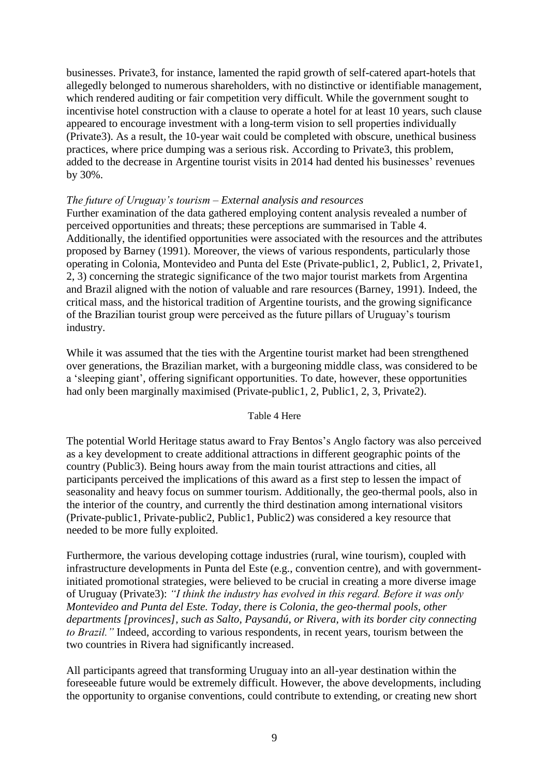businesses. Private3, for instance, lamented the rapid growth of self-catered apart-hotels that allegedly belonged to numerous shareholders, with no distinctive or identifiable management, which rendered auditing or fair competition very difficult. While the government sought to incentivise hotel construction with a clause to operate a hotel for at least 10 years, such clause appeared to encourage investment with a long-term vision to sell properties individually (Private3). As a result, the 10-year wait could be completed with obscure, unethical business practices, where price dumping was a serious risk. According to Private3, this problem, added to the decrease in Argentine tourist visits in 2014 had dented his businesses' revenues by 30%.

# *The future of Uruguay's tourism – External analysis and resources*

Further examination of the data gathered employing content analysis revealed a number of perceived opportunities and threats; these perceptions are summarised in Table 4. Additionally, the identified opportunities were associated with the resources and the attributes proposed by Barney (1991). Moreover, the views of various respondents, particularly those operating in Colonia, Montevideo and Punta del Este (Private-public1, 2, Public1, 2, Private1, 2, 3) concerning the strategic significance of the two major tourist markets from Argentina and Brazil aligned with the notion of valuable and rare resources (Barney, 1991). Indeed, the critical mass, and the historical tradition of Argentine tourists, and the growing significance of the Brazilian tourist group were perceived as the future pillars of Uruguay's tourism industry.

While it was assumed that the ties with the Argentine tourist market had been strengthened over generations, the Brazilian market, with a burgeoning middle class, was considered to be a 'sleeping giant', offering significant opportunities. To date, however, these opportunities had only been marginally maximised (Private-public1, 2, Public1, 2, 3, Private2).

#### Table 4 Here

The potential World Heritage status award to Fray Bentos's Anglo factory was also perceived as a key development to create additional attractions in different geographic points of the country (Public3). Being hours away from the main tourist attractions and cities, all participants perceived the implications of this award as a first step to lessen the impact of seasonality and heavy focus on summer tourism. Additionally, the geo-thermal pools, also in the interior of the country, and currently the third destination among international visitors (Private-public1, Private-public2, Public1, Public2) was considered a key resource that needed to be more fully exploited.

Furthermore, the various developing cottage industries (rural, wine tourism), coupled with infrastructure developments in Punta del Este (e.g., convention centre), and with governmentinitiated promotional strategies, were believed to be crucial in creating a more diverse image of Uruguay (Private3): *"I think the industry has evolved in this regard. Before it was only Montevideo and Punta del Este. Today, there is Colonia, the geo-thermal pools, other departments [provinces], such as Salto, Paysandú, or Rivera, with its border city connecting to Brazil."* Indeed, according to various respondents, in recent years, tourism between the two countries in Rivera had significantly increased.

All participants agreed that transforming Uruguay into an all-year destination within the foreseeable future would be extremely difficult. However, the above developments, including the opportunity to organise conventions, could contribute to extending, or creating new short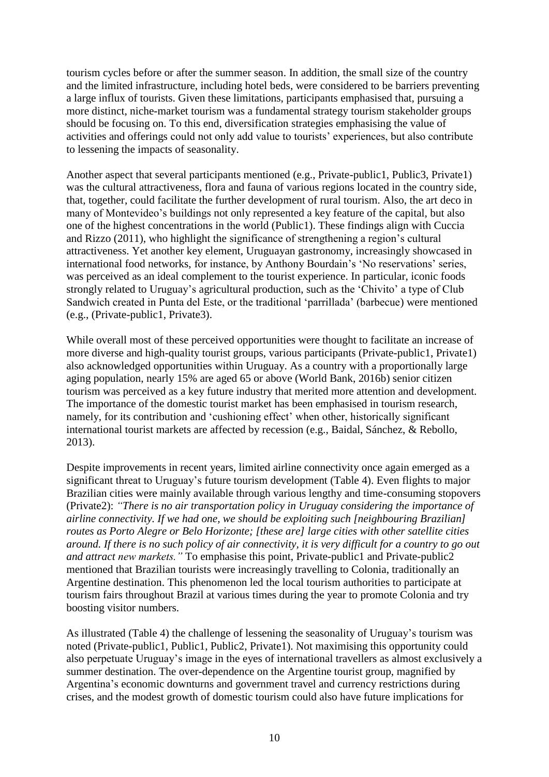tourism cycles before or after the summer season. In addition, the small size of the country and the limited infrastructure, including hotel beds, were considered to be barriers preventing a large influx of tourists. Given these limitations, participants emphasised that, pursuing a more distinct, niche-market tourism was a fundamental strategy tourism stakeholder groups should be focusing on. To this end, diversification strategies emphasising the value of activities and offerings could not only add value to tourists' experiences, but also contribute to lessening the impacts of seasonality.

Another aspect that several participants mentioned (e.g., Private-public1, Public3, Private1) was the cultural attractiveness, flora and fauna of various regions located in the country side, that, together, could facilitate the further development of rural tourism. Also, the art deco in many of Montevideo's buildings not only represented a key feature of the capital, but also one of the highest concentrations in the world (Public1). These findings align with Cuccia and Rizzo (2011), who highlight the significance of strengthening a region's cultural attractiveness. Yet another key element, Uruguayan gastronomy, increasingly showcased in international food networks, for instance, by Anthony Bourdain's 'No reservations' series, was perceived as an ideal complement to the tourist experience. In particular, iconic foods strongly related to Uruguay's agricultural production, such as the 'Chivito' a type of Club Sandwich created in Punta del Este, or the traditional 'parrillada' (barbecue) were mentioned (e.g., (Private-public1, Private3).

While overall most of these perceived opportunities were thought to facilitate an increase of more diverse and high-quality tourist groups, various participants (Private-public1, Private1) also acknowledged opportunities within Uruguay. As a country with a proportionally large aging population, nearly 15% are aged 65 or above (World Bank, 2016b) senior citizen tourism was perceived as a key future industry that merited more attention and development. The importance of the domestic tourist market has been emphasised in tourism research, namely, for its contribution and 'cushioning effect' when other, historically significant international tourist markets are affected by recession (e.g., Baidal, Sánchez, & Rebollo, 2013).

Despite improvements in recent years, limited airline connectivity once again emerged as a significant threat to Uruguay's future tourism development (Table 4). Even flights to major Brazilian cities were mainly available through various lengthy and time-consuming stopovers (Private2): *"There is no air transportation policy in Uruguay considering the importance of airline connectivity. If we had one, we should be exploiting such [neighbouring Brazilian] routes as Porto Alegre or Belo Horizonte; [these are] large cities with other satellite cities around. If there is no such policy of air connectivity, it is very difficult for a country to go out and attract new markets."* To emphasise this point, Private-public1 and Private-public2 mentioned that Brazilian tourists were increasingly travelling to Colonia, traditionally an Argentine destination. This phenomenon led the local tourism authorities to participate at tourism fairs throughout Brazil at various times during the year to promote Colonia and try boosting visitor numbers.

As illustrated (Table 4) the challenge of lessening the seasonality of Uruguay's tourism was noted (Private-public1, Public1, Public2, Private1). Not maximising this opportunity could also perpetuate Uruguay's image in the eyes of international travellers as almost exclusively a summer destination. The over-dependence on the Argentine tourist group, magnified by Argentina's economic downturns and government travel and currency restrictions during crises, and the modest growth of domestic tourism could also have future implications for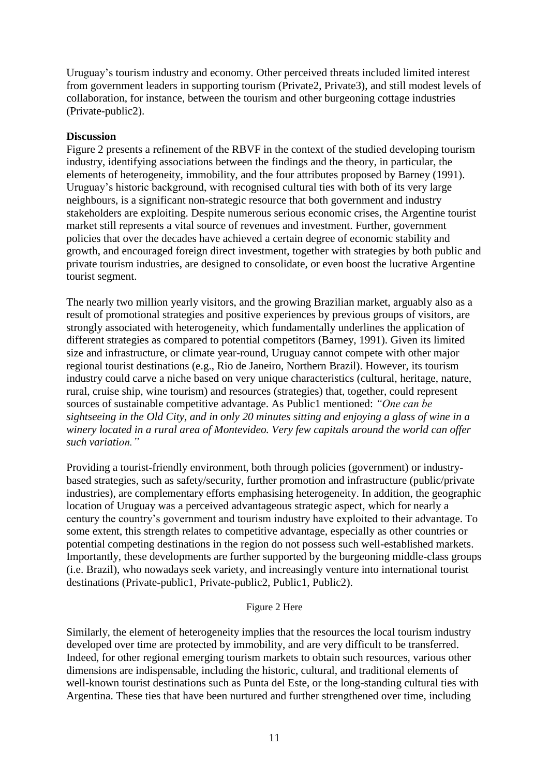Uruguay's tourism industry and economy. Other perceived threats included limited interest from government leaders in supporting tourism (Private2, Private3), and still modest levels of collaboration, for instance, between the tourism and other burgeoning cottage industries (Private-public2).

# **Discussion**

Figure 2 presents a refinement of the RBVF in the context of the studied developing tourism industry, identifying associations between the findings and the theory, in particular, the elements of heterogeneity, immobility, and the four attributes proposed by Barney (1991). Uruguay's historic background, with recognised cultural ties with both of its very large neighbours, is a significant non-strategic resource that both government and industry stakeholders are exploiting. Despite numerous serious economic crises, the Argentine tourist market still represents a vital source of revenues and investment. Further, government policies that over the decades have achieved a certain degree of economic stability and growth, and encouraged foreign direct investment, together with strategies by both public and private tourism industries, are designed to consolidate, or even boost the lucrative Argentine tourist segment.

The nearly two million yearly visitors, and the growing Brazilian market, arguably also as a result of promotional strategies and positive experiences by previous groups of visitors, are strongly associated with heterogeneity, which fundamentally underlines the application of different strategies as compared to potential competitors (Barney, 1991). Given its limited size and infrastructure, or climate year-round, Uruguay cannot compete with other major regional tourist destinations (e.g., Rio de Janeiro, Northern Brazil). However, its tourism industry could carve a niche based on very unique characteristics (cultural, heritage, nature, rural, cruise ship, wine tourism) and resources (strategies) that, together, could represent sources of sustainable competitive advantage. As Public1 mentioned: *"One can be sightseeing in the Old City, and in only 20 minutes sitting and enjoying a glass of wine in a winery located in a rural area of Montevideo. Very few capitals around the world can offer such variation."*

Providing a tourist-friendly environment, both through policies (government) or industrybased strategies, such as safety/security, further promotion and infrastructure (public/private industries), are complementary efforts emphasising heterogeneity. In addition, the geographic location of Uruguay was a perceived advantageous strategic aspect, which for nearly a century the country's government and tourism industry have exploited to their advantage. To some extent, this strength relates to competitive advantage, especially as other countries or potential competing destinations in the region do not possess such well-established markets. Importantly, these developments are further supported by the burgeoning middle-class groups (i.e. Brazil), who nowadays seek variety, and increasingly venture into international tourist destinations (Private-public1, Private-public2, Public1, Public2).

# Figure 2 Here

Similarly, the element of heterogeneity implies that the resources the local tourism industry developed over time are protected by immobility, and are very difficult to be transferred. Indeed, for other regional emerging tourism markets to obtain such resources, various other dimensions are indispensable, including the historic, cultural, and traditional elements of well-known tourist destinations such as Punta del Este, or the long-standing cultural ties with Argentina. These ties that have been nurtured and further strengthened over time, including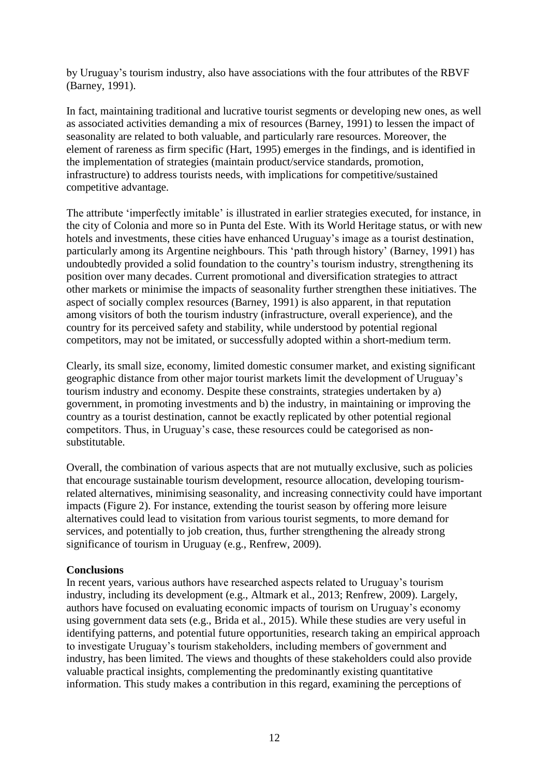by Uruguay's tourism industry, also have associations with the four attributes of the RBVF (Barney, 1991).

In fact, maintaining traditional and lucrative tourist segments or developing new ones, as well as associated activities demanding a mix of resources (Barney, 1991) to lessen the impact of seasonality are related to both valuable, and particularly rare resources. Moreover, the element of rareness as firm specific (Hart, 1995) emerges in the findings, and is identified in the implementation of strategies (maintain product/service standards, promotion, infrastructure) to address tourists needs, with implications for competitive/sustained competitive advantage.

The attribute 'imperfectly imitable' is illustrated in earlier strategies executed, for instance, in the city of Colonia and more so in Punta del Este. With its World Heritage status, or with new hotels and investments, these cities have enhanced Uruguay's image as a tourist destination, particularly among its Argentine neighbours. This 'path through history' (Barney, 1991) has undoubtedly provided a solid foundation to the country's tourism industry, strengthening its position over many decades. Current promotional and diversification strategies to attract other markets or minimise the impacts of seasonality further strengthen these initiatives. The aspect of socially complex resources (Barney, 1991) is also apparent, in that reputation among visitors of both the tourism industry (infrastructure, overall experience), and the country for its perceived safety and stability, while understood by potential regional competitors, may not be imitated, or successfully adopted within a short-medium term.

Clearly, its small size, economy, limited domestic consumer market, and existing significant geographic distance from other major tourist markets limit the development of Uruguay's tourism industry and economy. Despite these constraints, strategies undertaken by a) government, in promoting investments and b) the industry, in maintaining or improving the country as a tourist destination, cannot be exactly replicated by other potential regional competitors. Thus, in Uruguay's case, these resources could be categorised as nonsubstitutable.

Overall, the combination of various aspects that are not mutually exclusive, such as policies that encourage sustainable tourism development, resource allocation, developing tourismrelated alternatives, minimising seasonality, and increasing connectivity could have important impacts (Figure 2). For instance, extending the tourist season by offering more leisure alternatives could lead to visitation from various tourist segments, to more demand for services, and potentially to job creation, thus, further strengthening the already strong significance of tourism in Uruguay (e.g., Renfrew, 2009).

# **Conclusions**

In recent years, various authors have researched aspects related to Uruguay's tourism industry, including its development (e.g., Altmark et al., 2013; Renfrew, 2009). Largely, authors have focused on evaluating economic impacts of tourism on Uruguay's economy using government data sets (e.g., Brida et al., 2015). While these studies are very useful in identifying patterns, and potential future opportunities, research taking an empirical approach to investigate Uruguay's tourism stakeholders, including members of government and industry, has been limited. The views and thoughts of these stakeholders could also provide valuable practical insights, complementing the predominantly existing quantitative information. This study makes a contribution in this regard, examining the perceptions of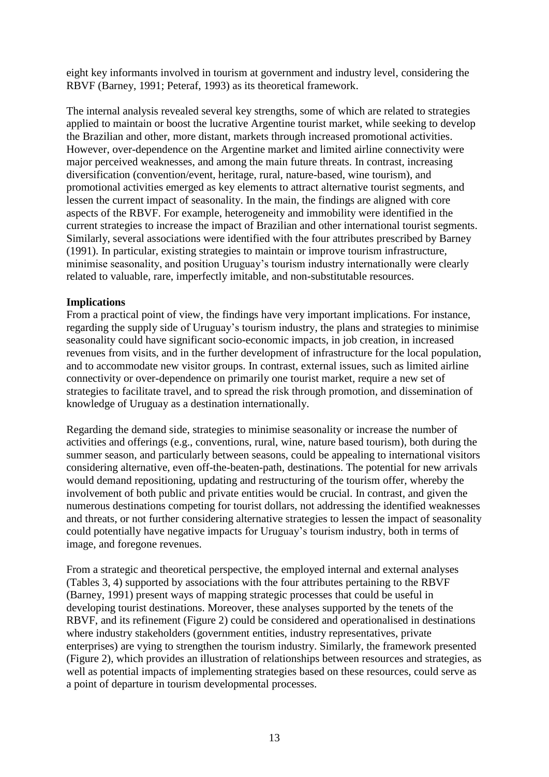eight key informants involved in tourism at government and industry level, considering the RBVF (Barney, 1991; Peteraf, 1993) as its theoretical framework.

The internal analysis revealed several key strengths, some of which are related to strategies applied to maintain or boost the lucrative Argentine tourist market, while seeking to develop the Brazilian and other, more distant, markets through increased promotional activities. However, over-dependence on the Argentine market and limited airline connectivity were major perceived weaknesses, and among the main future threats. In contrast, increasing diversification (convention/event, heritage, rural, nature-based, wine tourism), and promotional activities emerged as key elements to attract alternative tourist segments, and lessen the current impact of seasonality. In the main, the findings are aligned with core aspects of the RBVF. For example, heterogeneity and immobility were identified in the current strategies to increase the impact of Brazilian and other international tourist segments. Similarly, several associations were identified with the four attributes prescribed by Barney (1991). In particular, existing strategies to maintain or improve tourism infrastructure, minimise seasonality, and position Uruguay's tourism industry internationally were clearly related to valuable, rare, imperfectly imitable, and non-substitutable resources.

# **Implications**

From a practical point of view, the findings have very important implications. For instance, regarding the supply side of Uruguay's tourism industry, the plans and strategies to minimise seasonality could have significant socio-economic impacts, in job creation, in increased revenues from visits, and in the further development of infrastructure for the local population, and to accommodate new visitor groups. In contrast, external issues, such as limited airline connectivity or over-dependence on primarily one tourist market, require a new set of strategies to facilitate travel, and to spread the risk through promotion, and dissemination of knowledge of Uruguay as a destination internationally.

Regarding the demand side, strategies to minimise seasonality or increase the number of activities and offerings (e.g., conventions, rural, wine, nature based tourism), both during the summer season, and particularly between seasons, could be appealing to international visitors considering alternative, even off-the-beaten-path, destinations. The potential for new arrivals would demand repositioning, updating and restructuring of the tourism offer, whereby the involvement of both public and private entities would be crucial. In contrast, and given the numerous destinations competing for tourist dollars, not addressing the identified weaknesses and threats, or not further considering alternative strategies to lessen the impact of seasonality could potentially have negative impacts for Uruguay's tourism industry, both in terms of image, and foregone revenues.

From a strategic and theoretical perspective, the employed internal and external analyses (Tables 3, 4) supported by associations with the four attributes pertaining to the RBVF (Barney, 1991) present ways of mapping strategic processes that could be useful in developing tourist destinations. Moreover, these analyses supported by the tenets of the RBVF, and its refinement (Figure 2) could be considered and operationalised in destinations where industry stakeholders (government entities, industry representatives, private enterprises) are vying to strengthen the tourism industry. Similarly, the framework presented (Figure 2), which provides an illustration of relationships between resources and strategies, as well as potential impacts of implementing strategies based on these resources, could serve as a point of departure in tourism developmental processes.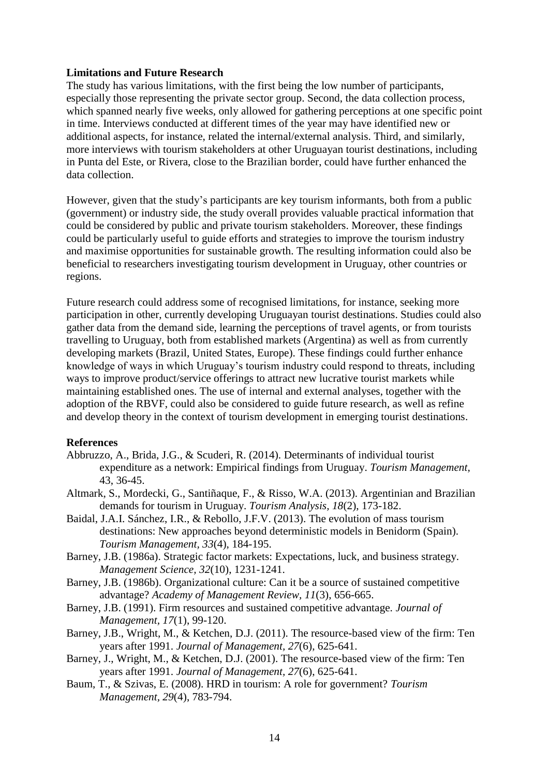# **Limitations and Future Research**

The study has various limitations, with the first being the low number of participants, especially those representing the private sector group. Second, the data collection process, which spanned nearly five weeks, only allowed for gathering perceptions at one specific point in time. Interviews conducted at different times of the year may have identified new or additional aspects, for instance, related the internal/external analysis. Third, and similarly, more interviews with tourism stakeholders at other Uruguayan tourist destinations, including in Punta del Este, or Rivera, close to the Brazilian border, could have further enhanced the data collection.

However, given that the study's participants are key tourism informants, both from a public (government) or industry side, the study overall provides valuable practical information that could be considered by public and private tourism stakeholders. Moreover, these findings could be particularly useful to guide efforts and strategies to improve the tourism industry and maximise opportunities for sustainable growth. The resulting information could also be beneficial to researchers investigating tourism development in Uruguay, other countries or regions.

Future research could address some of recognised limitations, for instance, seeking more participation in other, currently developing Uruguayan tourist destinations. Studies could also gather data from the demand side, learning the perceptions of travel agents, or from tourists travelling to Uruguay, both from established markets (Argentina) as well as from currently developing markets (Brazil, United States, Europe). These findings could further enhance knowledge of ways in which Uruguay's tourism industry could respond to threats, including ways to improve product/service offerings to attract new lucrative tourist markets while maintaining established ones. The use of internal and external analyses, together with the adoption of the RBVF, could also be considered to guide future research, as well as refine and develop theory in the context of tourism development in emerging tourist destinations.

#### **References**

- Abbruzzo, A., Brida, J.G., & Scuderi, R. (2014). Determinants of individual tourist expenditure as a network: Empirical findings from Uruguay. *Tourism Management,* 43, 36-45.
- Altmark, S., Mordecki, G., Santiñaque, F., & Risso, W.A. (2013). Argentinian and Brazilian demands for tourism in Uruguay. *Tourism Analysis, 18*(2), 173-182.
- Baidal, J.A.I. Sánchez, I.R., & Rebollo, J.F.V. (2013). The evolution of mass tourism destinations: New approaches beyond deterministic models in Benidorm (Spain). *Tourism Management, 33*(4), 184-195.
- Barney, J.B. (1986a). Strategic factor markets: Expectations, luck, and business strategy. *Management Science, 32*(10), 1231-1241.
- Barney, J.B. (1986b). Organizational culture: Can it be a source of sustained competitive advantage? *Academy of Management Review, 11*(3), 656-665.
- Barney, J.B. (1991). Firm resources and sustained competitive advantage. *Journal of Management, 17*(1), 99-120.
- Barney, J.B., Wright, M., & Ketchen, D.J. (2011). The resource-based view of the firm: Ten years after 1991. *Journal of Management, 27*(6), 625-641.
- Barney, J., Wright, M., & Ketchen, D.J. (2001). The resource-based view of the firm: Ten years after 1991. *Journal of Management, 27*(6), 625-641.
- Baum, T., & Szivas, E. (2008). HRD in tourism: A role for government? *Tourism Management, 29*(4), 783-794.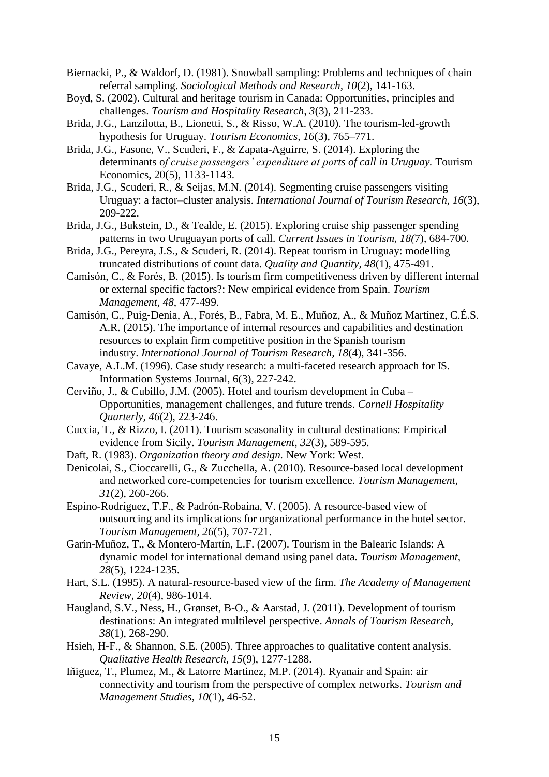- Biernacki, P., & Waldorf, D. (1981). Snowball sampling: Problems and techniques of chain referral sampling. *Sociological Methods and Research, 10*(2), 141-163.
- Boyd, S. (2002). Cultural and heritage tourism in Canada: Opportunities, principles and challenges. *Tourism and Hospitality Research, 3*(3), 211-233.
- Brida, J.G., Lanzilotta, B., Lionetti, S., & Risso, W.A. (2010). The tourism-led-growth hypothesis for Uruguay. *Tourism Economics, 16*(3), 765–771.
- Brida, J.G., Fasone, V., Scuderi, F., & Zapata-Aguirre, S. (2014). Exploring the determinants o*f cruise passengers' expenditure at ports of call in Uruguay.* Tourism Economics, 20(5), 1133-1143.
- Brida, J.G., Scuderi, R., & Seijas, M.N. (2014). Segmenting cruise passengers visiting Uruguay: a factor–cluster analysis. *International Journal of Tourism Research, 16*(3), 209-222.
- Brida, J.G., Bukstein, D., & Tealde, E. (2015). Exploring cruise ship passenger spending patterns in two Uruguayan ports of call. *Current Issues in Tourism, 18(*7), 684-700.
- Brida, J.G., Pereyra, J.S., & Scuderi, R. (2014). Repeat tourism in Uruguay: modelling truncated distributions of count data. *Quality and Quantity, 48*(1), 475-491.
- Camisón, C., & Forés, B. (2015). Is tourism firm competitiveness driven by different internal or external specific factors?: New empirical evidence from Spain. *Tourism Management*, *48*, 477-499.
- Camisón, C., Puig‐Denia, A., Forés, B., Fabra, M. E., Muñoz, A., & Muñoz Martínez, C.É.S. A.R. (2015). The importance of internal resources and capabilities and destination resources to explain firm competitive position in the Spanish tourism industry. *International Journal of Tourism Research, 18*(4), 341-356.
- Cavaye, A.L.M. (1996). Case study research: a multi-faceted research approach for IS. Information Systems Journal, 6(3), 227-242.
- Cerviño, J., & Cubillo, J.M. (2005). Hotel and tourism development in Cuba Opportunities, management challenges, and future trends. *Cornell Hospitality Quarterly, 46*(2), 223-246.
- Cuccia, T., & Rizzo, I. (2011). Tourism seasonality in cultural destinations: Empirical evidence from Sicily. *Tourism Management, 32*(3), 589-595.
- Daft, R. (1983). *Organization theory and design.* New York: West.
- Denicolai, S., Cioccarelli, G., & Zucchella, A. (2010). Resource-based local development and networked core-competencies for tourism excellence. *Tourism Management, 31*(2), 260-266.
- Espino-Rodríguez, T.F., & Padrón-Robaina, V. (2005). A resource-based view of outsourcing and its implications for organizational performance in the hotel sector. *Tourism Management, 26*(5), 707-721.
- Garín-Muñoz, T., & Montero-Martín, L.F. (2007). Tourism in the Balearic Islands: A dynamic model for international demand using panel data. *Tourism Management, 28*(5), 1224-1235.
- Hart, S.L. (1995). A natural-resource-based view of the firm. *The Academy of Management Review, 20*(4), 986-1014.
- Haugland, S.V., Ness, H., Grønset, B-O., & Aarstad, J. (2011). Development of tourism destinations: An integrated multilevel perspective. *Annals of Tourism Research, 38*(1), 268-290.
- Hsieh, H-F., & Shannon, S.E. (2005). Three approaches to qualitative content analysis. *Qualitative Health Research, 15*(9), 1277-1288.
- Iñiguez, T., Plumez, M., & Latorre Martinez, M.P. (2014). Ryanair and Spain: air connectivity and tourism from the perspective of complex networks. *Tourism and Management Studies, 10*(1), 46-52.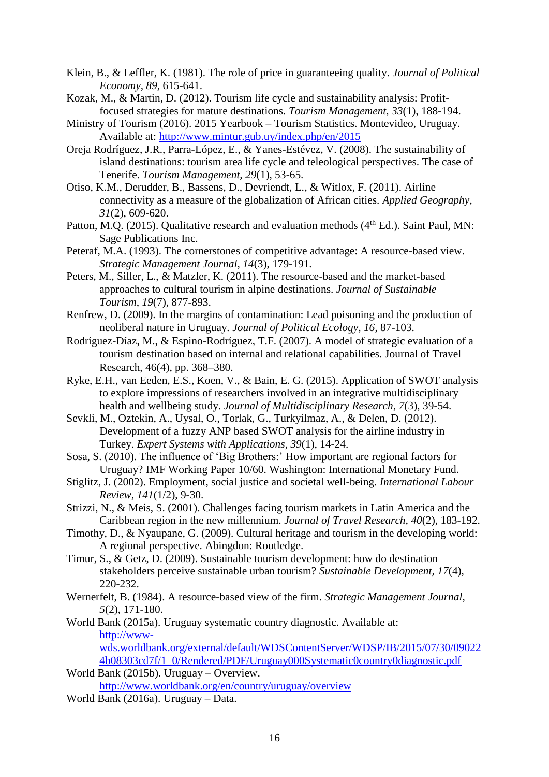- Klein, B., & Leffler, K. (1981). The role of price in guaranteeing quality. *Journal of Political Economy, 89*, 615-641.
- Kozak, M., & Martin, D. (2012). Tourism life cycle and sustainability analysis: Profitfocused strategies for mature destinations. *Tourism Management, 33*(1), 188-194.
- Ministry of Tourism (2016). 2015 Yearbook Tourism Statistics. Montevideo, Uruguay. Available at:<http://www.mintur.gub.uy/index.php/en/2015>
- Oreja Rodríguez, J.R., Parra-López, E., & Yanes-Estévez, V. (2008). The sustainability of island destinations: tourism area life cycle and teleological perspectives. The case of Tenerife. *Tourism Management, 29*(1), 53-65.
- Otiso, K.M., Derudder, B., Bassens, D., Devriendt, L., & Witlox, F. (2011). Airline connectivity as a measure of the globalization of African cities. *Applied Geography, 31*(2), 609-620.
- Patton, M.Q. (2015). Qualitative research and evaluation methods (4<sup>th</sup> Ed.). Saint Paul, MN: Sage Publications Inc.
- Peteraf, M.A. (1993). The cornerstones of competitive advantage: A resource-based view. *Strategic Management Journal, 14*(3), 179-191.
- Peters, M., Siller, L., & Matzler, K. (2011). The resource-based and the market-based approaches to cultural tourism in alpine destinations. *Journal of Sustainable Tourism*, *19*(7), 877-893.
- Renfrew, D. (2009). In the margins of contamination: Lead poisoning and the production of neoliberal nature in Uruguay. *Journal of Political Ecology, 16*, 87-103.
- Rodríguez-Díaz, M., & Espino-Rodríguez, T.F. (2007). A model of strategic evaluation of a tourism destination based on internal and relational capabilities. Journal of Travel Research, 46(4), pp. 368–380.
- Ryke, E.H., van Eeden, E.S., Koen, V., & Bain, E. G. (2015). Application of SWOT analysis to explore impressions of researchers involved in an integrative multidisciplinary health and wellbeing study. *Journal of Multidisciplinary Research*, *7*(3), 39-54.
- Sevkli, M., Oztekin, A., Uysal, O., Torlak, G., Turkyilmaz, A., & Delen, D. (2012). Development of a fuzzy ANP based SWOT analysis for the airline industry in Turkey. *Expert Systems with Applications*, *39*(1), 14-24.
- Sosa, S. (2010). The influence of 'Big Brothers:' How important are regional factors for Uruguay? IMF Working Paper 10/60. Washington: International Monetary Fund.
- Stiglitz, J. (2002). Employment, social justice and societal well-being. *International Labour Review, 141*(1/2), 9-30.
- Strizzi, N., & Meis, S. (2001). Challenges facing tourism markets in Latin America and the Caribbean region in the new millennium. *Journal of Travel Research, 40*(2), 183-192.
- Timothy, D., & Nyaupane, G. (2009). Cultural heritage and tourism in the developing world: A regional perspective. Abingdon: Routledge.
- Timur, S., & Getz, D. (2009). Sustainable tourism development: how do destination stakeholders perceive sustainable urban tourism? *Sustainable Development, 17*(4), 220-232.
- Wernerfelt, B. (1984). A resource-based view of the firm. *Strategic Management Journal, 5*(2), 171-180.
- World Bank (2015a). Uruguay systematic country diagnostic. Available at: [http://www](http://www-wds.worldbank.org/external/default/WDSContentServer/WDSP/IB/2015/07/30/090224b08303cd7f/1_0/Rendered/PDF/Uruguay000Systematic0country0diagnostic.pdf)[wds.worldbank.org/external/default/WDSContentServer/WDSP/IB/2015/07/30/09022](http://www-wds.worldbank.org/external/default/WDSContentServer/WDSP/IB/2015/07/30/090224b08303cd7f/1_0/Rendered/PDF/Uruguay000Systematic0country0diagnostic.pdf) [4b08303cd7f/1\\_0/Rendered/PDF/Uruguay000Systematic0country0diagnostic.pdf](http://www-wds.worldbank.org/external/default/WDSContentServer/WDSP/IB/2015/07/30/090224b08303cd7f/1_0/Rendered/PDF/Uruguay000Systematic0country0diagnostic.pdf)
- World Bank (2015b). Uruguay Overview. <http://www.worldbank.org/en/country/uruguay/overview>
- World Bank (2016a). Uruguay Data.